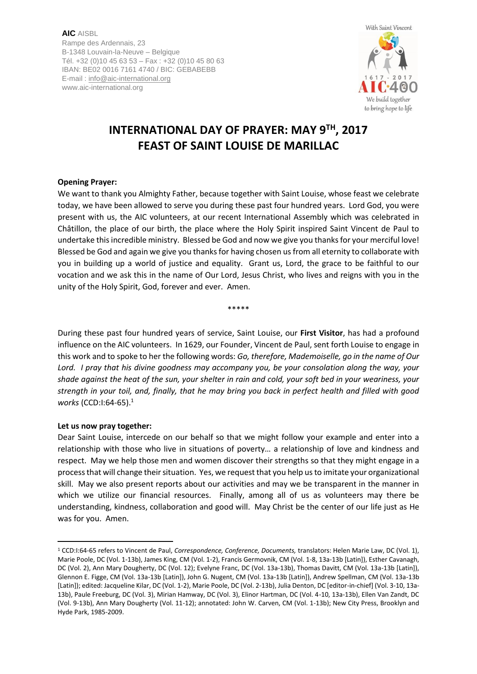**AIC** AISBL Rampe des Ardennais, 23 B-1348 Louvain-la-Neuve – Belgique Tél. +32 (0)10 45 63 53 – Fax : +32 (0)10 45 80 63 IBAN: BE02 0016 7161 4740 / BIC: GEBABEBB E-mail [: info@aic-international.org](mailto:info@aic-international.org) www.aic-international.org



# **INTERNATIONAL DAY OF PRAYER: MAY 9TH, 2017 FEAST OF SAINT LOUISE DE MARILLAC**

### **Opening Prayer:**

We want to thank you Almighty Father, because together with Saint Louise, whose feast we celebrate today, we have been allowed to serve you during these past four hundred years. Lord God, you were present with us, the AIC volunteers, at our recent International Assembly which was celebrated in Châtillon, the place of our birth, the place where the Holy Spirit inspired Saint Vincent de Paul to undertake this incredible ministry. Blessed be God and now we give you thanks for your merciful love! Blessed be God and again we give you thanks for having chosen us from all eternity to collaborate with you in building up a world of justice and equality. Grant us, Lord, the grace to be faithful to our vocation and we ask this in the name of Our Lord, Jesus Christ, who lives and reigns with you in the unity of the Holy Spirit, God, forever and ever. Amen.

\*\*\*\*\*

During these past four hundred years of service, Saint Louise, our **First Visitor**, has had a profound influence on the AIC volunteers. In 1629, our Founder, Vincent de Paul, sent forth Louise to engage in this work and to spoke to her the following words: *Go, therefore, Mademoiselle, go in the name of Our Lord. I pray that his divine goodness may accompany you, be your consolation along the way, your shade against the heat of the sun, your shelter in rain and cold, your soft bed in your weariness, your strength in your toil, and, finally, that he may bring you back in perfect health and filled with good works* (CCD:I:64-65).<sup>1</sup>

#### **Let us now pray together:**

<u>.</u>

Dear Saint Louise, intercede on our behalf so that we might follow your example and enter into a relationship with those who live in situations of poverty… a relationship of love and kindness and respect. May we help those men and women discover their strengths so that they might engage in a process that will change their situation. Yes, we request that you help us to imitate your organizational skill. May we also present reports about our activities and may we be transparent in the manner in which we utilize our financial resources. Finally, among all of us as volunteers may there be understanding, kindness, collaboration and good will. May Christ be the center of our life just as He was for you. Amen.

<sup>1</sup> CCD:I:64-65 refers to Vincent de Paul, *Correspondence, Conference, Documents,* translators: Helen Marie Law, DC (Vol. 1), Marie Poole, DC (Vol. 1-13b), James King, CM (Vol. 1-2), Francis Germovnik, CM (Vol. 1-8, 13a-13b [Latin]), Esther Cavanagh, DC (Vol. 2), Ann Mary Dougherty, DC (Vol. 12); Evelyne Franc, DC (Vol. 13a-13b), Thomas Davitt, CM (Vol. 13a-13b [Latin]), Glennon E. Figge, CM (Vol. 13a-13b [Latin]), John G. Nugent, CM (Vol. 13a-13b [Latin]), Andrew Spellman, CM (Vol. 13a-13b [Latin]); edited: Jacqueline Kilar, DC (Vol. 1-2), Marie Poole, DC (Vol. 2-13b), Julia Denton, DC [editor-in-chief] (Vol. 3-10, 13a-13b), Paule Freeburg, DC (Vol. 3), Mirian Hamway, DC (Vol. 3), Elinor Hartman, DC (Vol. 4-10, 13a-13b), Ellen Van Zandt, DC (Vol. 9-13b), Ann Mary Dougherty (Vol. 11-12); annotated: John W. Carven, CM (Vol. 1-13b); New City Press, Brooklyn and Hyde Park, 1985-2009.